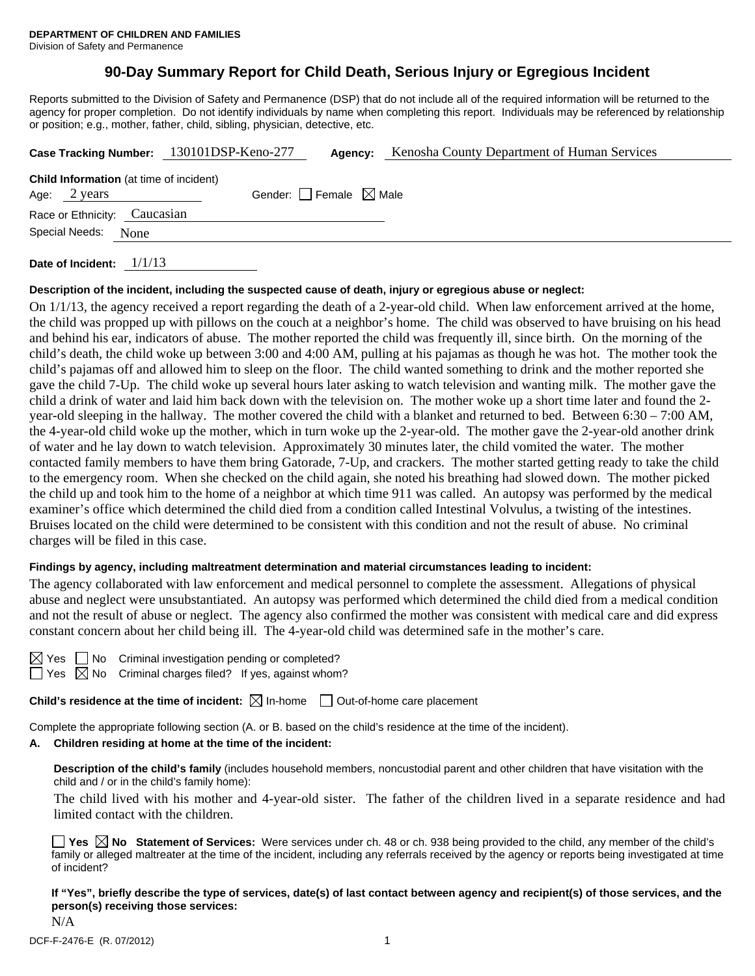# **90-Day Summary Report for Child Death, Serious Injury or Egregious Incident**

Reports submitted to the Division of Safety and Permanence (DSP) that do not include all of the required information will be returned to the agency for proper completion. Do not identify individuals by name when completing this report. Individuals may be referenced by relationship or position; e.g., mother, father, child, sibling, physician, detective, etc.

|                                                | Case Tracking Number: 130101DSP-Keno-277 | Agency: | Kenosha County Department of Human Services |  |
|------------------------------------------------|------------------------------------------|---------|---------------------------------------------|--|
| <b>Child Information</b> (at time of incident) |                                          |         |                                             |  |
| Age: 2 years                                   | Gender: Female $\boxtimes$ Male          |         |                                             |  |
| Race or Ethnicity: Caucasian                   |                                          |         |                                             |  |
| Special Needs: None                            |                                          |         |                                             |  |
|                                                |                                          |         |                                             |  |

**Date of Incident:** 1/1/13

#### **Description of the incident, including the suspected cause of death, injury or egregious abuse or neglect:**

On 1/1/13, the agency received a report regarding the death of a 2-year-old child. When law enforcement arrived at the home, the child was propped up with pillows on the couch at a neighbor's home. The child was observed to have bruising on his head and behind his ear, indicators of abuse. The mother reported the child was frequently ill, since birth. On the morning of the child's death, the child woke up between 3:00 and 4:00 AM, pulling at his pajamas as though he was hot. The mother took the child's pajamas off and allowed him to sleep on the floor. The child wanted something to drink and the mother reported she gave the child 7-Up. The child woke up several hours later asking to watch television and wanting milk. The mother gave the child a drink of water and laid him back down with the television on. The mother woke up a short time later and found the 2 year-old sleeping in the hallway. The mother covered the child with a blanket and returned to bed. Between 6:30 – 7:00 AM, the 4-year-old child woke up the mother, which in turn woke up the 2-year-old. The mother gave the 2-year-old another drink of water and he lay down to watch television. Approximately 30 minutes later, the child vomited the water. The mother contacted family members to have them bring Gatorade, 7-Up, and crackers. The mother started getting ready to take the child to the emergency room. When she checked on the child again, she noted his breathing had slowed down. The mother picked the child up and took him to the home of a neighbor at which time 911 was called. An autopsy was performed by the medical examiner's office which determined the child died from a condition called Intestinal Volvulus, a twisting of the intestines. Bruises located on the child were determined to be consistent with this condition and not the result of abuse. No criminal charges will be filed in this case.

### **Findings by agency, including maltreatment determination and material circumstances leading to incident:**

The agency collaborated with law enforcement and medical personnel to complete the assessment. Allegations of physical abuse and neglect were unsubstantiated. An autopsy was performed which determined the child died from a medical condition and not the result of abuse or neglect. The agency also confirmed the mother was consistent with medical care and did express constant concern about her child being ill. The 4-year-old child was determined safe in the mother's care.

| - |  |
|---|--|
|   |  |

No Criminal investigation pending or completed?

 $\boxtimes$  No Criminal charges filed? If yes, against whom?

**Child's residence at the time of incident:**  $\boxtimes$  In-home  $\Box$  Out-of-home care placement

Complete the appropriate following section (A. or B. based on the child's residence at the time of the incident).

#### **A. Children residing at home at the time of the incident:**

**Description of the child's family** (includes household members, noncustodial parent and other children that have visitation with the child and / or in the child's family home):

 The child lived with his mother and 4-year-old sister. The father of the children lived in a separate residence and had limited contact with the children.

**Yes**  $\boxtimes$  **No** Statement of Services: Were services under ch. 48 or ch. 938 being provided to the child, any member of the child's family or alleged maltreater at the time of the incident, including any referrals received by the agency or reports being investigated at time of incident?

**If "Yes", briefly describe the type of services, date(s) of last contact between agency and recipient(s) of those services, and the person(s) receiving those services:**